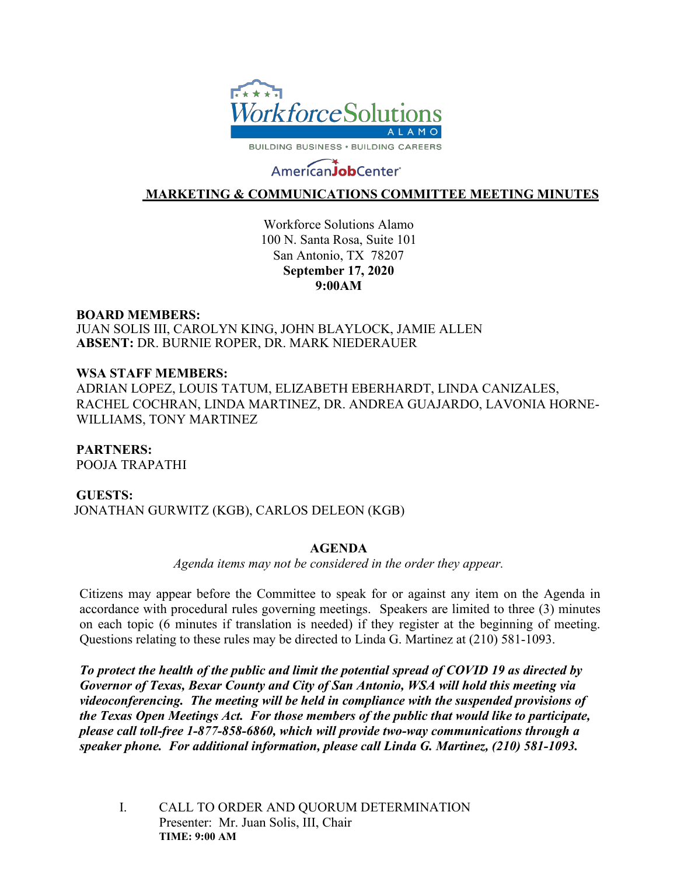

# AmericanJobCenter®

## **MARKETING & COMMUNICATIONS COMMITTEE MEETING MINUTES**

Workforce Solutions Alamo 100 N. Santa Rosa, Suite 101 San Antonio, TX 78207 **September 17, 2020 9:00AM**

### **BOARD MEMBERS:**

JUAN SOLIS III, CAROLYN KING, JOHN BLAYLOCK, JAMIE ALLEN **ABSENT:** DR. BURNIE ROPER, DR. MARK NIEDERAUER

## **WSA STAFF MEMBERS:**

ADRIAN LOPEZ, LOUIS TATUM, ELIZABETH EBERHARDT, LINDA CANIZALES, RACHEL COCHRAN, LINDA MARTINEZ, DR. ANDREA GUAJARDO, LAVONIA HORNE-WILLIAMS, TONY MARTINEZ

## **PARTNERS:**

POOJA TRAPATHI

## **GUESTS:**

JONATHAN GURWITZ (KGB), CARLOS DELEON (KGB)

## **AGENDA**

*Agenda items may not be considered in the order they appear.*

Citizens may appear before the Committee to speak for or against any item on the Agenda in accordance with procedural rules governing meetings. Speakers are limited to three (3) minutes on each topic (6 minutes if translation is needed) if they register at the beginning of meeting. Questions relating to these rules may be directed to Linda G. Martinez at (210) 581-1093.

*To protect the health of the public and limit the potential spread of COVID 19 as directed by Governor of Texas, Bexar County and City of San Antonio, WSA will hold this meeting via videoconferencing. The meeting will be held in compliance with the suspended provisions of the Texas Open Meetings Act. For those members of the public that would like to participate, please call toll-free 1-877-858-6860, which will provide two-way communications through a speaker phone. For additional information, please call Linda G. Martinez, (210) 581-1093.*

I. CALL TO ORDER AND QUORUM DETERMINATION Presenter: Mr. Juan Solis, III, Chair **TIME: 9:00 AM**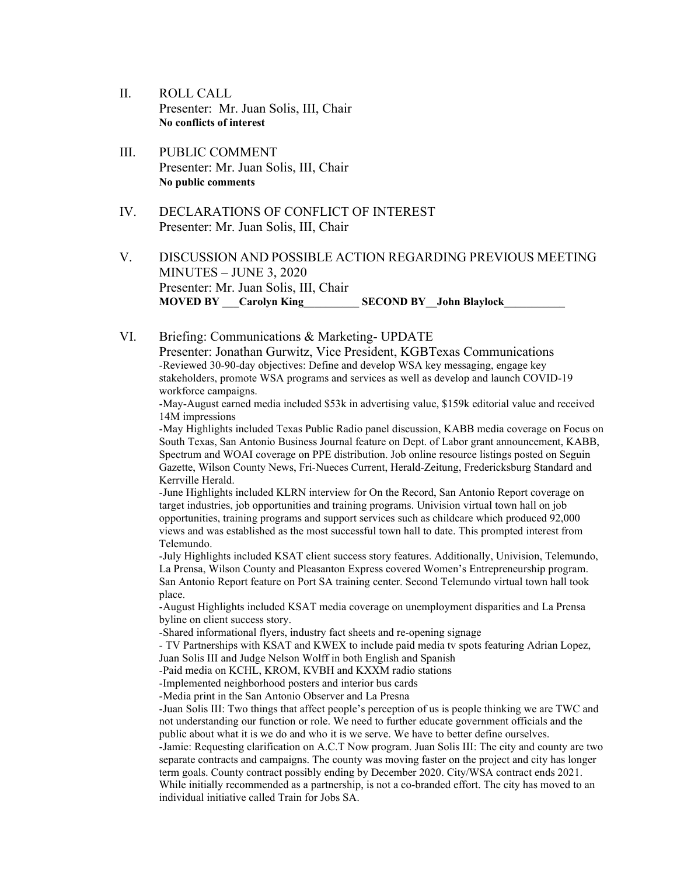- II. ROLL CALL Presenter: Mr. Juan Solis, III, Chair **No conflicts of interest**
- III. PUBLIC COMMENT Presenter: Mr. Juan Solis, III, Chair **No public comments**
- IV. DECLARATIONS OF CONFLICT OF INTEREST Presenter: Mr. Juan Solis, III, Chair
- V. DISCUSSION AND POSSIBLE ACTION REGARDING PREVIOUS MEETING MINUTES – JUNE 3, 2020 Presenter: Mr. Juan Solis, III, Chair **MOVED BY** Carolyn King SECOND BY John Blaylock
- VI. Briefing: Communications & Marketing- UPDATE Presenter: Jonathan Gurwitz, Vice President, KGBTexas Communications -Reviewed 30-90-day objectives: Define and develop WSA key messaging, engage key stakeholders, promote WSA programs and services as well as develop and launch COVID-19 workforce campaigns.

-May-August earned media included \$53k in advertising value, \$159k editorial value and received 14M impressions

-May Highlights included Texas Public Radio panel discussion, KABB media coverage on Focus on South Texas, San Antonio Business Journal feature on Dept. of Labor grant announcement, KABB, Spectrum and WOAI coverage on PPE distribution. Job online resource listings posted on Seguin Gazette, Wilson County News, Fri-Nueces Current, Herald-Zeitung, Fredericksburg Standard and Kerrville Herald.

-June Highlights included KLRN interview for On the Record, San Antonio Report coverage on target industries, job opportunities and training programs. Univision virtual town hall on job opportunities, training programs and support services such as childcare which produced 92,000 views and was established as the most successful town hall to date. This prompted interest from Telemundo.

-July Highlights included KSAT client success story features. Additionally, Univision, Telemundo, La Prensa, Wilson County and Pleasanton Express covered Women's Entrepreneurship program. San Antonio Report feature on Port SA training center. Second Telemundo virtual town hall took place.

-August Highlights included KSAT media coverage on unemployment disparities and La Prensa byline on client success story.

-Shared informational flyers, industry fact sheets and re-opening signage

- TV Partnerships with KSAT and KWEX to include paid media tv spots featuring Adrian Lopez, Juan Solis III and Judge Nelson Wolff in both English and Spanish

-Paid media on KCHL, KROM, KVBH and KXXM radio stations

-Implemented neighborhood posters and interior bus cards

-Media print in the San Antonio Observer and La Presna

-Juan Solis III: Two things that affect people's perception of us is people thinking we are TWC and not understanding our function or role. We need to further educate government officials and the public about what it is we do and who it is we serve. We have to better define ourselves.

-Jamie: Requesting clarification on A.C.T Now program. Juan Solis III: The city and county are two separate contracts and campaigns. The county was moving faster on the project and city has longer term goals. County contract possibly ending by December 2020. City/WSA contract ends 2021. While initially recommended as a partnership, is not a co-branded effort. The city has moved to an individual initiative called Train for Jobs SA.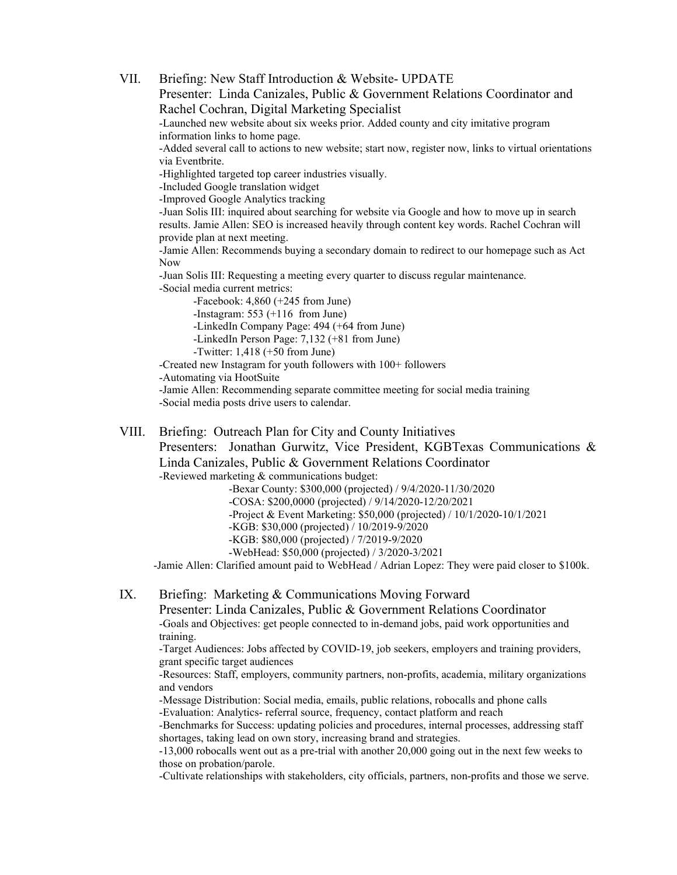VII. Briefing: New Staff Introduction & Website- UPDATE Presenter: Linda Canizales, Public & Government Relations Coordinator and Rachel Cochran, Digital Marketing Specialist -Launched new website about six weeks prior. Added county and city imitative program information links to home page. -Added several call to actions to new website; start now, register now, links to virtual orientations via Eventbrite. -Highlighted targeted top career industries visually. -Included Google translation widget -Improved Google Analytics tracking -Juan Solis III: inquired about searching for website via Google and how to move up in search results. Jamie Allen: SEO is increased heavily through content key words. Rachel Cochran will provide plan at next meeting. -Jamie Allen: Recommends buying a secondary domain to redirect to our homepage such as Act Now -Juan Solis III: Requesting a meeting every quarter to discuss regular maintenance. -Social media current metrics: -Facebook: 4,860 (+245 from June) -Instagram: 553 (+116 from June) -LinkedIn Company Page: 494 (+64 from June) -LinkedIn Person Page: 7,132 (+81 from June) -Twitter: 1,418 (+50 from June) -Created new Instagram for youth followers with 100+ followers -Automating via HootSuite -Jamie Allen: Recommending separate committee meeting for social media training -Social media posts drive users to calendar. VIII. Briefing: Outreach Plan for City and County Initiatives

Presenters: Jonathan Gurwitz, Vice President, KGBTexas Communications & Linda Canizales, Public & Government Relations Coordinator -Reviewed marketing & communications budget:

-Bexar County: \$300,000 (projected) / 9/4/2020-11/30/2020

-COSA: \$200,0000 (projected) / 9/14/2020-12/20/2021

-Project & Event Marketing: \$50,000 (projected) / 10/1/2020-10/1/2021

-KGB: \$30,000 (projected) / 10/2019-9/2020

-KGB: \$80,000 (projected) / 7/2019-9/2020

-WebHead: \$50,000 (projected) / 3/2020-3/2021

-Jamie Allen: Clarified amount paid to WebHead / Adrian Lopez: They were paid closer to \$100k.

#### IX. Briefing: Marketing & Communications Moving Forward

Presenter: Linda Canizales, Public & Government Relations Coordinator -Goals and Objectives: get people connected to in-demand jobs, paid work opportunities and training.

-Target Audiences: Jobs affected by COVID-19, job seekers, employers and training providers, grant specific target audiences

-Resources: Staff, employers, community partners, non-profits, academia, military organizations and vendors

-Message Distribution: Social media, emails, public relations, robocalls and phone calls -Evaluation: Analytics- referral source, frequency, contact platform and reach

-Benchmarks for Success: updating policies and procedures, internal processes, addressing staff shortages, taking lead on own story, increasing brand and strategies.

-13,000 robocalls went out as a pre-trial with another 20,000 going out in the next few weeks to those on probation/parole.

-Cultivate relationships with stakeholders, city officials, partners, non-profits and those we serve.